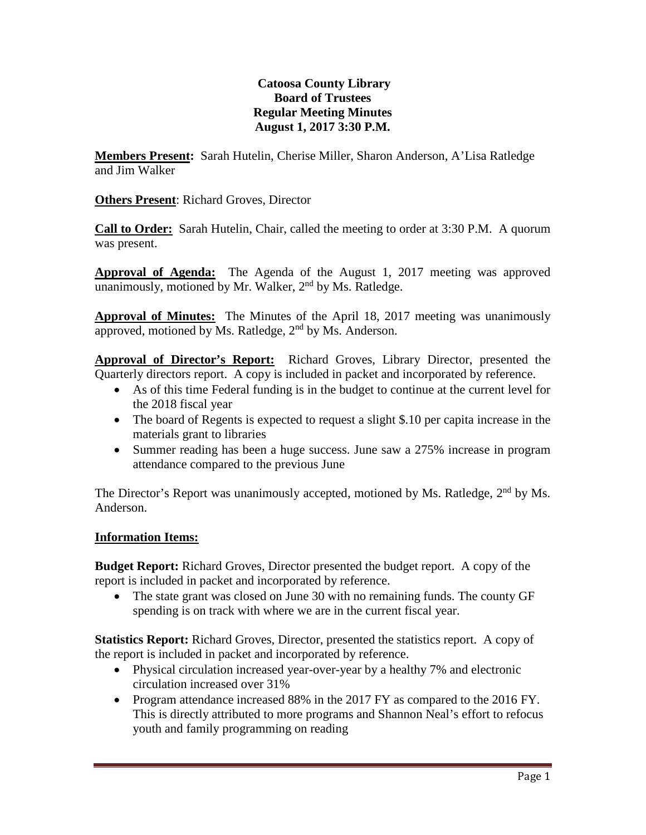# **Catoosa County Library Board of Trustees Regular Meeting Minutes August 1, 2017 3:30 P.M.**

**Members Present:** Sarah Hutelin, Cherise Miller, Sharon Anderson, A'Lisa Ratledge and Jim Walker

**Others Present**: Richard Groves, Director

**Call to Order:** Sarah Hutelin, Chair, called the meeting to order at 3:30 P.M. A quorum was present.

**Approval of Agenda:** The Agenda of the August 1, 2017 meeting was approved unanimously, motioned by Mr. Walker,  $2<sup>nd</sup>$  by Ms. Ratledge.

**Approval of Minutes:** The Minutes of the April 18, 2017 meeting was unanimously approved, motioned by Ms. Ratledge,  $2<sup>nd</sup>$  by Ms. Anderson.

**Approval of Director's Report:** Richard Groves, Library Director, presented the Quarterly directors report. A copy is included in packet and incorporated by reference.

- As of this time Federal funding is in the budget to continue at the current level for the 2018 fiscal year
- The board of Regents is expected to request a slight \$.10 per capita increase in the materials grant to libraries
- Summer reading has been a huge success. June saw a 275% increase in program attendance compared to the previous June

The Director's Report was unanimously accepted, motioned by Ms. Ratledge,  $2<sup>nd</sup>$  by Ms. Anderson.

# **Information Items:**

**Budget Report:** Richard Groves, Director presented the budget report. A copy of the report is included in packet and incorporated by reference.

• The state grant was closed on June 30 with no remaining funds. The county GF spending is on track with where we are in the current fiscal year.

**Statistics Report:** Richard Groves, Director, presented the statistics report. A copy of the report is included in packet and incorporated by reference.

- Physical circulation increased year-over-year by a healthy 7% and electronic circulation increased over 31%
- Program attendance increased 88% in the 2017 FY as compared to the 2016 FY. This is directly attributed to more programs and Shannon Neal's effort to refocus youth and family programming on reading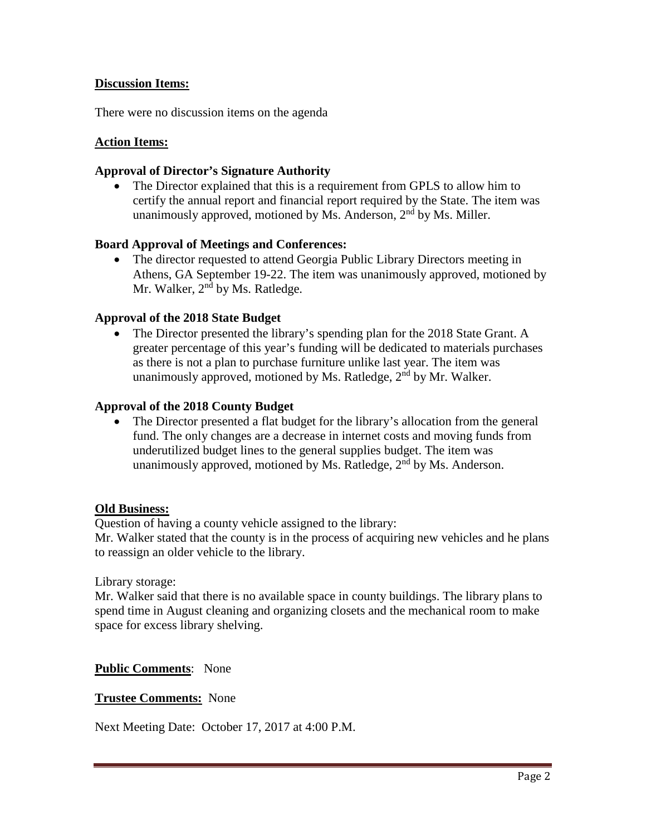## **Discussion Items:**

There were no discussion items on the agenda

### **Action Items:**

### **Approval of Director's Signature Authority**

• The Director explained that this is a requirement from GPLS to allow him to certify the annual report and financial report required by the State. The item was unanimously approved, motioned by Ms. Anderson,  $2<sup>nd</sup>$  by Ms. Miller.

### **Board Approval of Meetings and Conferences:**

• The director requested to attend Georgia Public Library Directors meeting in Athens, GA September 19-22. The item was unanimously approved, motioned by Mr. Walker,  $2<sup>nd</sup>$  by Ms. Ratledge.

### **Approval of the 2018 State Budget**

The Director presented the library's spending plan for the 2018 State Grant. A greater percentage of this year's funding will be dedicated to materials purchases as there is not a plan to purchase furniture unlike last year. The item was unanimously approved, motioned by Ms. Ratledge,  $2<sup>nd</sup>$  by Mr. Walker.

#### **Approval of the 2018 County Budget**

The Director presented a flat budget for the library's allocation from the general fund. The only changes are a decrease in internet costs and moving funds from underutilized budget lines to the general supplies budget. The item was unanimously approved, motioned by Ms. Ratledge,  $2<sup>nd</sup>$  by Ms. Anderson.

#### **Old Business:**

Question of having a county vehicle assigned to the library:

Mr. Walker stated that the county is in the process of acquiring new vehicles and he plans to reassign an older vehicle to the library.

Library storage:

Mr. Walker said that there is no available space in county buildings. The library plans to spend time in August cleaning and organizing closets and the mechanical room to make space for excess library shelving.

### **Public Comments**: None

### **Trustee Comments:** None

Next Meeting Date: October 17, 2017 at 4:00 P.M.